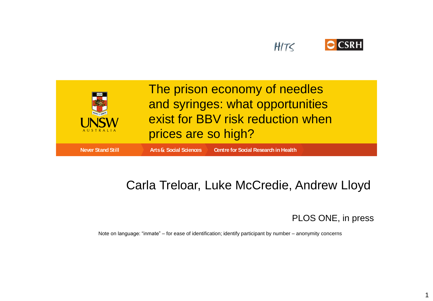



### Carla Treloar, Luke McCredie, Andrew Lloyd

PLOS ONE, in press

1

Note on language: "inmate" – for ease of identification; identify participant by number – anonymity concerns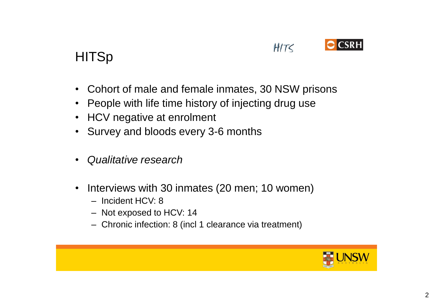

### **HITSp**

- Cohort of male and female inmates, 30 NSW prisons
- People with life time history of injecting drug use
- HCV negative at enrolment
- Survey and bloods every 3-6 months
- *Qualitative research*
- Interviews with 30 inmates (20 men; 10 women)
	- Incident HCV: 8
	- Not exposed to HCV: 14
	- Chronic infection: 8 (incl 1 clearance via treatment)

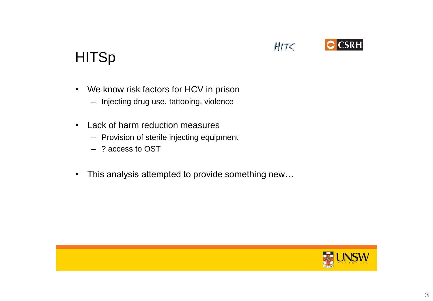#### • We know risk factors for HCV in prison

- Injecting drug use, tattooing, violence
- Lack of harm reduction measures
	- Provision of sterile injecting equipment
	- ? access to OST

**HITSp** 

• This analysis attempted to provide something new…



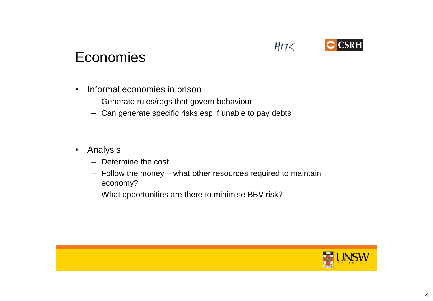

## Economies

- Informal economies in prison
	- Generate rules/regs that govern behaviour
	- Can generate specific risks esp if unable to pay debts
- Analysis
	- Determine the cost
	- Follow the money what other resources required to maintain economy?
	- What opportunities are there to minimise BBV risk?

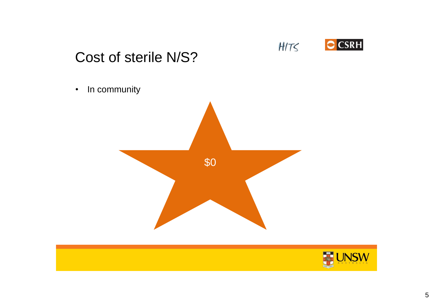

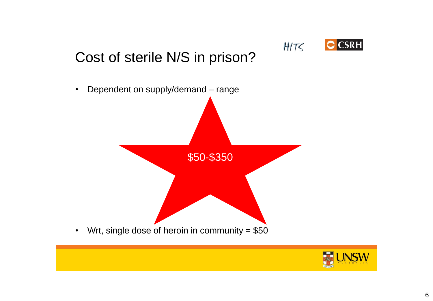

# Cost of sterile N/S in prison?



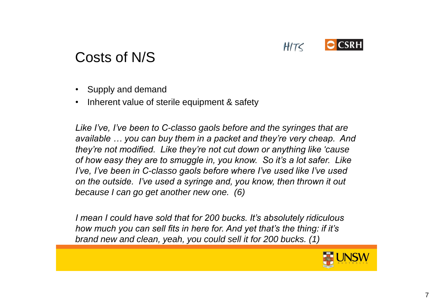

## Costs of N/S

- Supply and demand
- Inherent value of sterile equipment & safety

*Like I've, I've been to C-classo gaols before and the syringes that are available … you can buy them in a packet and they're very cheap. And they're not modified. Like they're not cut down or anything like 'cause of how easy they are to smuggle in, you know. So it's a lot safer. Like I've, I've been in C-classo gaols before where I've used like I've used on the outside. I've used a syringe and, you know, then thrown it out because I can go get another new one. (6)*

*I mean I could have sold that for 200 bucks. It's absolutely ridiculous how much you can sell fits in here for. And yet that's the thing: if it's brand new and clean, yeah, you could sell it for 200 bucks. (1)* 

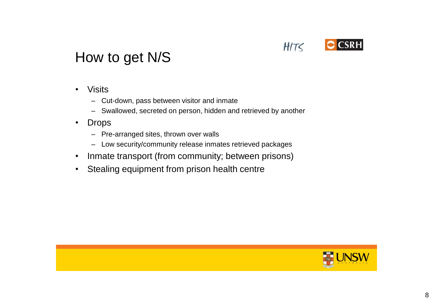

## How to get N/S

- Visits
	- Cut-down, pass between visitor and inmate
	- Swallowed, secreted on person, hidden and retrieved by another
- Drops
	- Pre-arranged sites, thrown over walls
	- Low security/community release inmates retrieved packages
- Inmate transport (from community; between prisons)
- Stealing equipment from prison health centre

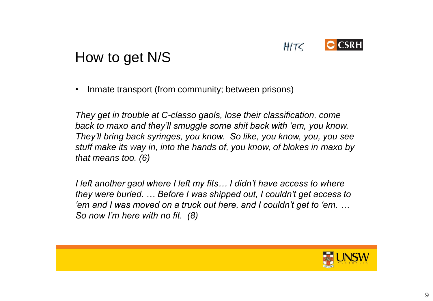

## How to get N/S

• Inmate transport (from community; between prisons)

*They get in trouble at C-classo gaols, lose their classification, come back to maxo and they'll smuggle some shit back with 'em, you know. They'll bring back syringes, you know. So like, you know, you, you see stuff make its way in, into the hands of, you know, of blokes in maxo by that means too. (6)*

*I left another gaol where I left my fits… I didn't have access to where they were buried. … Before I was shipped out, I couldn't get access to 'em and I was moved on a truck out here, and I couldn't get to 'em. … So now I'm here with no fit. (8)*

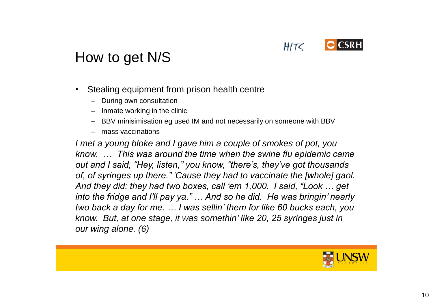

## How to get N/S

- Stealing equipment from prison health centre
	- During own consultation
	- Inmate working in the clinic
	- BBV minisimisation eg used IM and not necessarily on someone with BBV
	- mass vaccinations

*I met a young bloke and I gave him a couple of smokes of pot, you know. … This was around the time when the swine flu epidemic came out and I said, "Hey, listen," you know, "there's, they've got thousands of, of syringes up there." 'Cause they had to vaccinate the [whole] gaol. And they did: they had two boxes, call 'em 1,000. I said, "Look … get into the fridge and I'll pay ya." … And so he did. He was bringin' nearly two back a day for me. … I was sellin' them for like 60 bucks each, you know. But, at one stage, it was somethin' like 20, 25 syringes just in our wing alone. (6)*

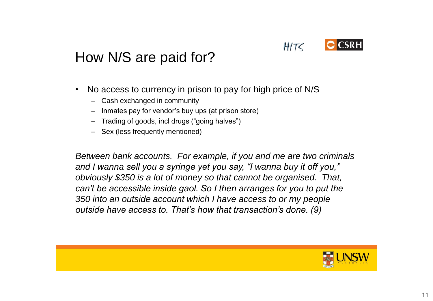

# How N/S are paid for?

- No access to currency in prison to pay for high price of N/S
	- Cash exchanged in community
	- Inmates pay for vendor's buy ups (at prison store)
	- Trading of goods, incl drugs ("going halves")
	- Sex (less frequently mentioned)

*Between bank accounts. For example, if you and me are two criminals and I wanna sell you a syringe yet you say, "I wanna buy it off you," obviously \$350 is a lot of money so that cannot be organised. That, can't be accessible inside gaol. So I then arranges for you to put the 350 into an outside account which I have access to or my people outside have access to. That's how that transaction's done. (9)*

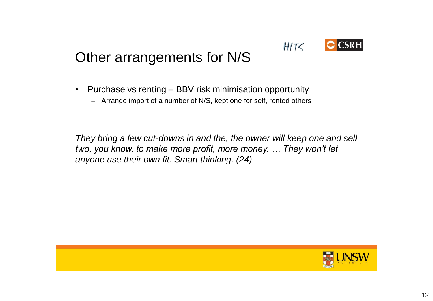

# Other arrangements for N/S

- Purchase vs renting BBV risk minimisation opportunity
	- Arrange import of a number of N/S, kept one for self, rented others

*They bring a few cut-downs in and the, the owner will keep one and sell two, you know, to make more profit, more money. … They won't let anyone use their own fit. Smart thinking. (24)*

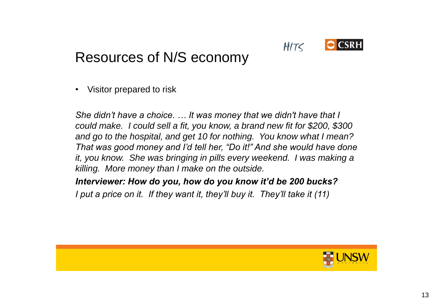

• Visitor prepared to risk

*She didn't have a choice. … It was money that we didn't have that I could make. I could sell a fit, you know, a brand new fit for \$200, \$300 and go to the hospital, and get 10 for nothing. You know what I mean? That was good money and I'd tell her, "Do it!" And she would have done it, you know. She was bringing in pills every weekend. I was making a killing. More money than I make on the outside.* 

#### *Interviewer: How do you, how do you know it'd be 200 bucks?*

*I put a price on it. If they want it, they'll buy it. They'll take it (11)*

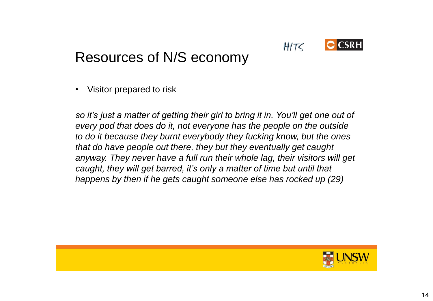

• Visitor prepared to risk

*so it's just a matter of getting their girl to bring it in. You'll get one out of every pod that does do it, not everyone has the people on the outside to do it because they burnt everybody they fucking know, but the ones that do have people out there, they but they eventually get caught anyway. They never have a full run their whole lag, their visitors will get caught, they will get barred, it's only a matter of time but until that happens by then if he gets caught someone else has rocked up (29)*

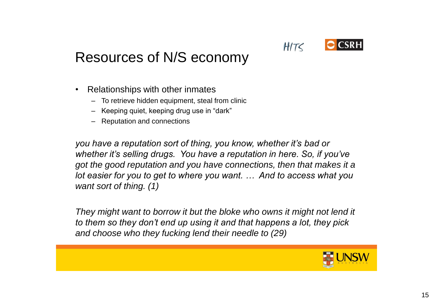# Resources of N/S economy

- Relationships with other inmates
	- To retrieve hidden equipment, steal from clinic
	- Keeping quiet, keeping drug use in "dark"
	- Reputation and connections

*you have a reputation sort of thing, you know, whether it's bad or whether it's selling drugs. You have a reputation in here. So, if you've got the good reputation and you have connections, then that makes it a lot easier for you to get to where you want. … And to access what you want sort of thing. (1)* 

*They might want to borrow it but the bloke who owns it might not lend it to them so they don't end up using it and that happens a lot, they pick and choose who they fucking lend their needle to (29)*



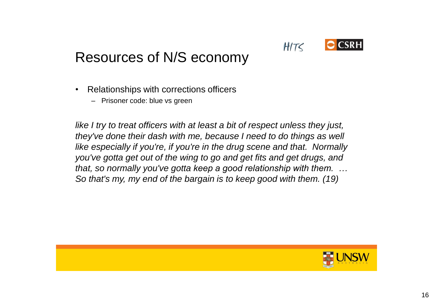

- Relationships with corrections officers
	- Prisoner code: blue vs green

*like I try to treat officers with at least a bit of respect unless they just, they've done their dash with me, because I need to do things as well like especially if you're, if you're in the drug scene and that. Normally you've gotta get out of the wing to go and get fits and get drugs, and that, so normally you've gotta keep a good relationship with them. … So that's my, my end of the bargain is to keep good with them. (19)*

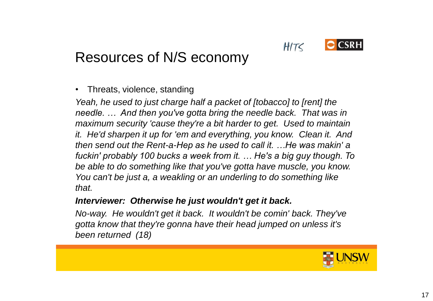

# Resources of N/S economy

• Threats, violence, standing

*Yeah, he used to just charge half a packet of [tobacco] to [rent] the needle. … And then you've gotta bring the needle back. That was in maximum security 'cause they're a bit harder to get. Used to maintain it. He'd sharpen it up for 'em and everything, you know. Clean it. And then send out the Rent-a-Hep as he used to call it. …He was makin' a fuckin' probably 100 bucks a week from it. … He's a big guy though. To be able to do something like that you've gotta have muscle, you know. You can't be just a, a weakling or an underling to do something like that.*

#### *Interviewer: Otherwise he just wouldn't get it back.*

*No-way. He wouldn't get it back. It wouldn't be comin' back. They've gotta know that they're gonna have their head jumped on unless it's been returned (18)*

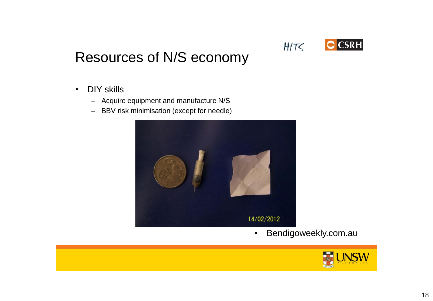

- DIY skills
	- Acquire equipment and manufacture N/S
	- BBV risk minimisation (except for needle)



• Bendigoweekly.com.au

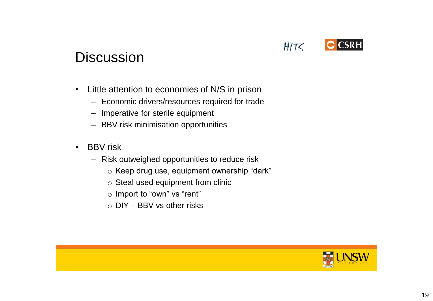

### **Discussion**

- Little attention to economies of N/S in prison
	- Economic drivers/resources required for trade
	- Imperative for sterile equipment
	- BBV risk minimisation opportunities
- BBV risk
	- Risk outweighed opportunities to reduce risk
		- o Keep drug use, equipment ownership "dark"
		- o Steal used equipment from clinic
		- o Import to "own" vs "rent"
		- $\circ$  DIY BBV vs other risks

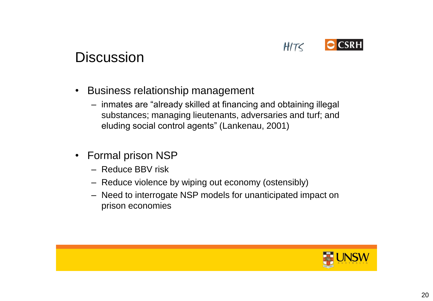

### **Discussion**

- Business relationship management
	- inmates are "already skilled at financing and obtaining illegal substances; managing lieutenants, adversaries and turf; and eluding social control agents" (Lankenau, 2001)
- Formal prison NSP
	- Reduce BBV risk
	- Reduce violence by wiping out economy (ostensibly)
	- Need to interrogate NSP models for unanticipated impact on prison economies